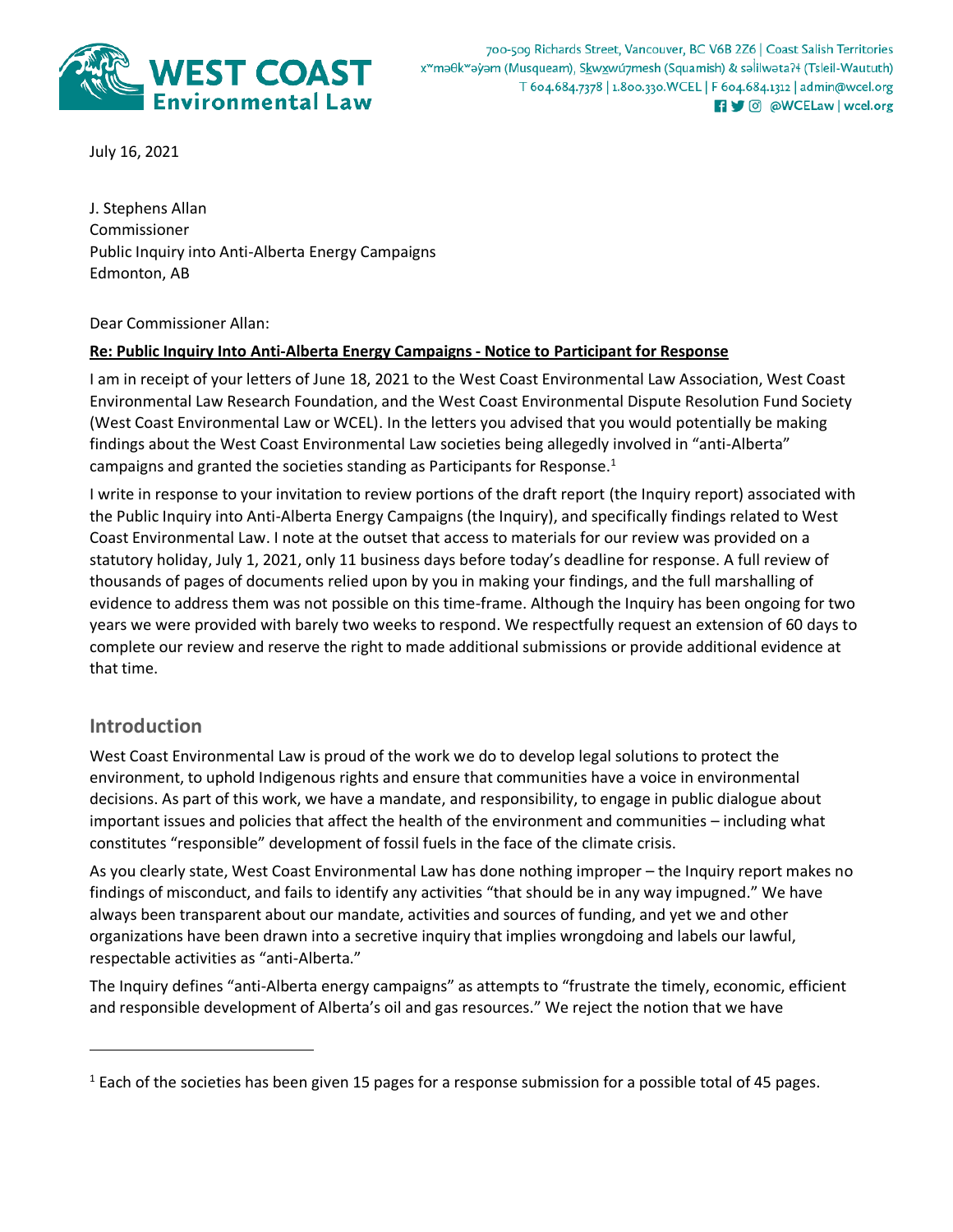

700-509 Richards Street, Vancouver, BC V6B 2Z6 | Coast Salish Territories x<sup>w</sup>məθk<sup>w</sup>əyəm (Musqueam), Skwxwú7mesh (Squamish) & səlilwəta?ł (Tsleil-Waututh) T 604.684.7378 | 1.800.330. WCEL | F 604.684.1312 | admin@wcel.org **n y** © @WCELaw | wcel.org

July 16, 2021

J. Stephens Allan Commissioner Public Inquiry into Anti-Alberta Energy Campaigns Edmonton, AB

Dear Commissioner Allan:

### **Re: Public Inquiry Into Anti-Alberta Energy Campaigns - Notice to Participant for Response**

I am in receipt of your letters of June 18, 2021 to the West Coast Environmental Law Association, West Coast Environmental Law Research Foundation, and the West Coast Environmental Dispute Resolution Fund Society (West Coast Environmental Law or WCEL). In the letters you advised that you would potentially be making findings about the West Coast Environmental Law societies being allegedly involved in "anti-Alberta" campaigns and granted the societies standing as Participants for Response.<sup>1</sup>

I write in response to your invitation to review portions of the draft report (the Inquiry report) associated with the Public Inquiry into Anti-Alberta Energy Campaigns (the Inquiry), and specifically findings related to West Coast Environmental Law. I note at the outset that access to materials for our review was provided on a statutory holiday, July 1, 2021, only 11 business days before today's deadline for response. A full review of thousands of pages of documents relied upon by you in making your findings, and the full marshalling of evidence to address them was not possible on this time-frame. Although the Inquiry has been ongoing for two years we were provided with barely two weeks to respond. We respectfully request an extension of 60 days to complete our review and reserve the right to made additional submissions or provide additional evidence at that time.

# **Introduction**

 $\overline{a}$ 

West Coast Environmental Law is proud of the work we do to develop legal solutions to protect the environment, to uphold Indigenous rights and ensure that communities have a voice in environmental decisions. As part of this work, we have a mandate, and responsibility, to engage in public dialogue about important issues and policies that affect the health of the environment and communities – including what constitutes "responsible" development of fossil fuels in the face of the climate crisis.

As you clearly state, West Coast Environmental Law has done nothing improper – the Inquiry report makes no findings of misconduct, and fails to identify any activities "that should be in any way impugned." We have always been transparent about our mandate, activities and sources of funding, and yet we and other organizations have been drawn into a secretive inquiry that implies wrongdoing and labels our lawful, respectable activities as "anti-Alberta."

The Inquiry defines "anti-Alberta energy campaigns" as attempts to "frustrate the timely, economic, efficient and responsible development of Alberta's oil and gas resources." We reject the notion that we have

 $<sup>1</sup>$  Each of the societies has been given 15 pages for a response submission for a possible total of 45 pages.</sup>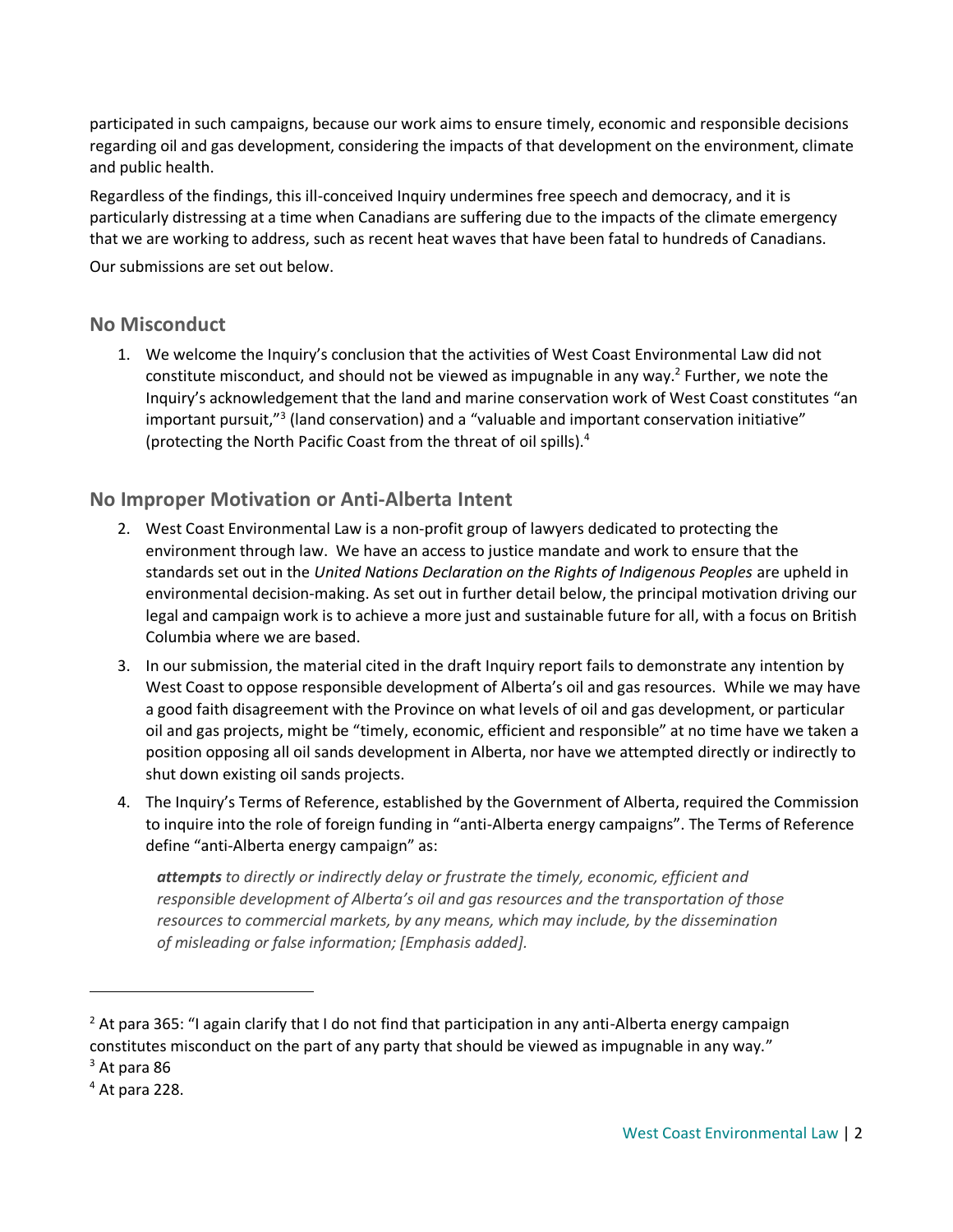participated in such campaigns, because our work aims to ensure timely, economic and responsible decisions regarding oil and gas development, considering the impacts of that development on the environment, climate and public health.

Regardless of the findings, this ill-conceived Inquiry undermines free speech and democracy, and it is particularly distressing at a time when Canadians are suffering due to the impacts of the climate emergency that we are working to address, such as recent heat waves that have been fatal to hundreds of Canadians.

Our submissions are set out below.

### **No Misconduct**

1. We welcome the Inquiry's conclusion that the activities of West Coast Environmental Law did not constitute misconduct, and should not be viewed as impugnable in any way.<sup>2</sup> Further, we note the Inquiry's acknowledgement that the land and marine conservation work of West Coast constitutes "an important pursuit,"<sup>3</sup> (land conservation) and a "valuable and important conservation initiative" (protecting the North Pacific Coast from the threat of oil spills).<sup>4</sup>

# **No Improper Motivation or Anti-Alberta Intent**

- 2. West Coast Environmental Law is a non-profit group of lawyers dedicated to protecting the environment through law. We have an access to justice mandate and work to ensure that the standards set out in the *United Nations Declaration on the Rights of Indigenous Peoples* are upheld in environmental decision-making. As set out in further detail below, the principal motivation driving our legal and campaign work is to achieve a more just and sustainable future for all, with a focus on British Columbia where we are based.
- 3. In our submission, the material cited in the draft Inquiry report fails to demonstrate any intention by West Coast to oppose responsible development of Alberta's oil and gas resources. While we may have a good faith disagreement with the Province on what levels of oil and gas development, or particular oil and gas projects, might be "timely, economic, efficient and responsible" at no time have we taken a position opposing all oil sands development in Alberta, nor have we attempted directly or indirectly to shut down existing oil sands projects.
- 4. The Inquiry's Terms of Reference, established by the Government of Alberta, required the Commission to inquire into the role of foreign funding in "anti-Alberta energy campaigns". The Terms of Reference define "anti-Alberta energy campaign" as:

*attempts to directly or indirectly delay or frustrate the timely, economic, efficient and responsible development of Alberta's oil and gas resources and the transportation of those resources to commercial markets, by any means, which may include, by the dissemination of misleading or false information; [Emphasis added].*

 $2$  At para 365: "I again clarify that I do not find that participation in any anti-Alberta energy campaign constitutes misconduct on the part of any party that should be viewed as impugnable in any way."

 $3$  At para 86

 $<sup>4</sup>$  At para 228.</sup>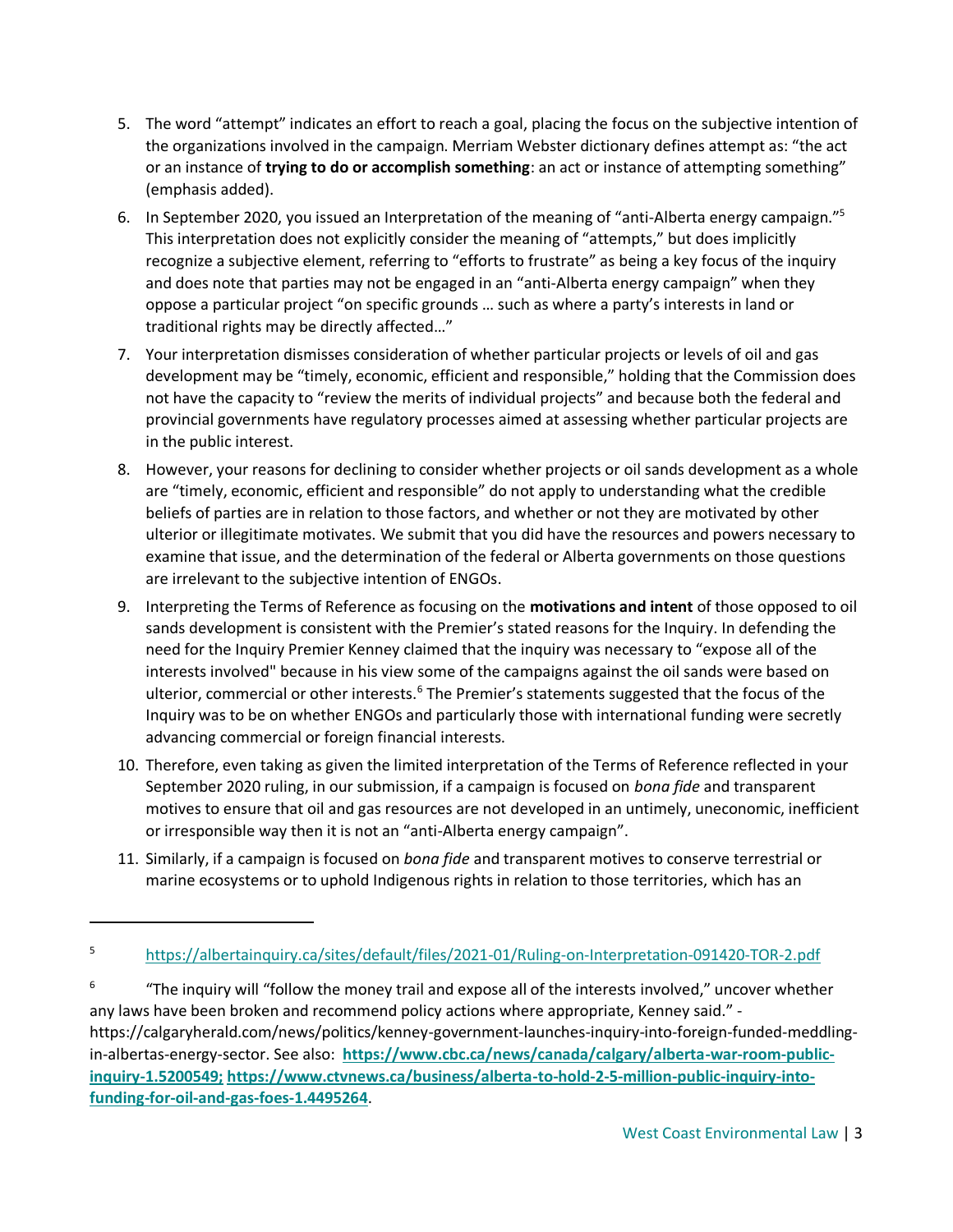- 5. The word "attempt" indicates an effort to reach a goal, placing the focus on the subjective intention of the organizations involved in the campaign. Merriam Webster dictionary defines attempt as: "the act or an instance of **trying to do or accomplish something**: an act or instance of attempting something" (emphasis added).
- 6. In September 2020, you issued an Interpretation of the meaning of "anti-Alberta energy campaign."<sup>5</sup> This interpretation does not explicitly consider the meaning of "attempts," but does implicitly recognize a subjective element, referring to "efforts to frustrate" as being a key focus of the inquiry and does note that parties may not be engaged in an "anti-Alberta energy campaign" when they oppose a particular project "on specific grounds … such as where a party's interests in land or traditional rights may be directly affected…"
- 7. Your interpretation dismisses consideration of whether particular projects or levels of oil and gas development may be "timely, economic, efficient and responsible," holding that the Commission does not have the capacity to "review the merits of individual projects" and because both the federal and provincial governments have regulatory processes aimed at assessing whether particular projects are in the public interest.
- 8. However, your reasons for declining to consider whether projects or oil sands development as a whole are "timely, economic, efficient and responsible" do not apply to understanding what the credible beliefs of parties are in relation to those factors, and whether or not they are motivated by other ulterior or illegitimate motivates. We submit that you did have the resources and powers necessary to examine that issue, and the determination of the federal or Alberta governments on those questions are irrelevant to the subjective intention of ENGOs.
- 9. Interpreting the Terms of Reference as focusing on the **motivations and intent** of those opposed to oil sands development is consistent with the Premier's stated reasons for the Inquiry. In defending the need for the Inquiry Premier Kenney claimed that the inquiry was necessary to "expose all of the interests involved" because in his view some of the campaigns against the oil sands were based on ulterior, commercial or other interests.<sup>6</sup> The Premier's statements suggested that the focus of the Inquiry was to be on whether ENGOs and particularly those with international funding were secretly advancing commercial or foreign financial interests.
- 10. Therefore, even taking as given the limited interpretation of the Terms of Reference reflected in your September 2020 ruling, in our submission, if a campaign is focused on *bona fide* and transparent motives to ensure that oil and gas resources are not developed in an untimely, uneconomic, inefficient or irresponsible way then it is not an "anti-Alberta energy campaign".
- 11. Similarly, if a campaign is focused on *bona fide* and transparent motives to conserve terrestrial or marine ecosystems or to uphold Indigenous rights in relation to those territories, which has an

<sup>5</sup> <https://albertainquiry.ca/sites/default/files/2021-01/Ruling-on-Interpretation-091420-TOR-2.pdf>

<sup>6</sup> "The inquiry will "follow the money trail and expose all of the interests involved," uncover whether any laws have been broken and recommend policy actions where appropriate, Kenney said." [https://calgaryherald.com/news/politics/kenney-government-launches-inquiry-into-foreign-funded-meddling](https://calgaryherald.com/news/politics/kenney-government-launches-inquiry-into-foreign-funded-meddling-in-albertas-energy-sector)[in-albertas-energy-sector.](https://calgaryherald.com/news/politics/kenney-government-launches-inquiry-into-foreign-funded-meddling-in-albertas-energy-sector) See also: **[https://www.cbc.ca/news/canada/calgary/alberta-war-room-public](https://www.cbc.ca/news/canada/calgary/alberta-war-room-public-inquiry-1.5200549;)[inquiry-1.5200549;](https://www.cbc.ca/news/canada/calgary/alberta-war-room-public-inquiry-1.5200549;) [https://www.ctvnews.ca/business/alberta-to-hold-2-5-million-public-inquiry-into](https://www.ctvnews.ca/business/alberta-to-hold-2-5-million-public-inquiry-into-funding-for-oil-and-gas-foes-1.4495264)[funding-for-oil-and-gas-foes-1.4495264](https://www.ctvnews.ca/business/alberta-to-hold-2-5-million-public-inquiry-into-funding-for-oil-and-gas-foes-1.4495264)**.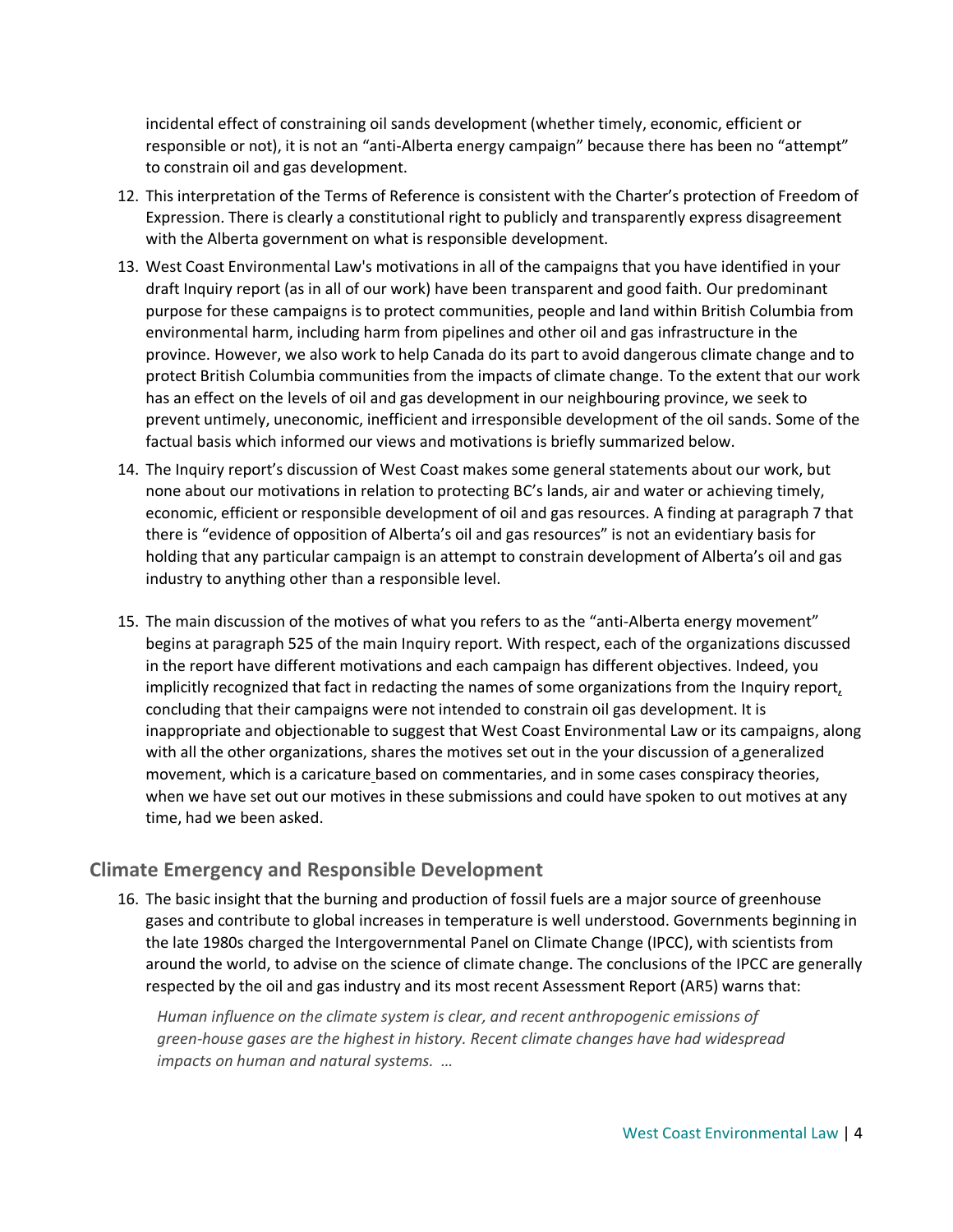incidental effect of constraining oil sands development (whether timely, economic, efficient or responsible or not), it is not an "anti-Alberta energy campaign" because there has been no "attempt" to constrain oil and gas development.

- 12. This interpretation of the Terms of Reference is consistent with the Charter's protection of Freedom of Expression. There is clearly a constitutional right to publicly and transparently express disagreement with the Alberta government on what is responsible development.
- 13. West Coast Environmental Law's motivations in all of the campaigns that you have identified in your draft Inquiry report (as in all of our work) have been transparent and good faith. Our predominant purpose for these campaigns is to protect communities, people and land within British Columbia from environmental harm, including harm from pipelines and other oil and gas infrastructure in the province. However, we also work to help Canada do its part to avoid dangerous climate change and to protect British Columbia communities from the impacts of climate change. To the extent that our work has an effect on the levels of oil and gas development in our neighbouring province, we seek to prevent untimely, uneconomic, inefficient and irresponsible development of the oil sands. Some of the factual basis which informed our views and motivations is briefly summarized below.
- 14. The Inquiry report's discussion of West Coast makes some general statements about our work, but none about our motivations in relation to protecting BC's lands, air and water or achieving timely, economic, efficient or responsible development of oil and gas resources. A finding at paragraph 7 that there is "evidence of opposition of Alberta's oil and gas resources" is not an evidentiary basis for holding that any particular campaign is an attempt to constrain development of Alberta's oil and gas industry to anything other than a responsible level.
- 15. The main discussion of the motives of what you refers to as the "anti-Alberta energy movement" begins at paragraph 525 of the main Inquiry report. With respect, each of the organizations discussed in the report have different motivations and each campaign has different objectives. Indeed, you implicitly recognized that fact in redacting the names of some organizations from the Inquiry report, concluding that their campaigns were not intended to constrain oil gas development. It is inappropriate and objectionable to suggest that West Coast Environmental Law or its campaigns, along with all the other organizations, shares the motives set out in the your discussion of a generalized movement, which is a caricature based on commentaries, and in some cases conspiracy theories, when we have set out our motives in these submissions and could have spoken to out motives at any time, had we been asked.

# **Climate Emergency and Responsible Development**

16. The basic insight that the burning and production of fossil fuels are a major source of greenhouse gases and contribute to global increases in temperature is well understood. Governments beginning in the late 1980s charged the Intergovernmental Panel on Climate Change (IPCC), with scientists from around the world, to advise on the science of climate change. The conclusions of the IPCC are generally respected by the oil and gas industry and its most recent Assessment Report (AR5) warns that:

*Human influence on the climate system is clear, and recent anthropogenic emissions of green-house gases are the highest in history. Recent climate changes have had widespread impacts on human and natural systems. …*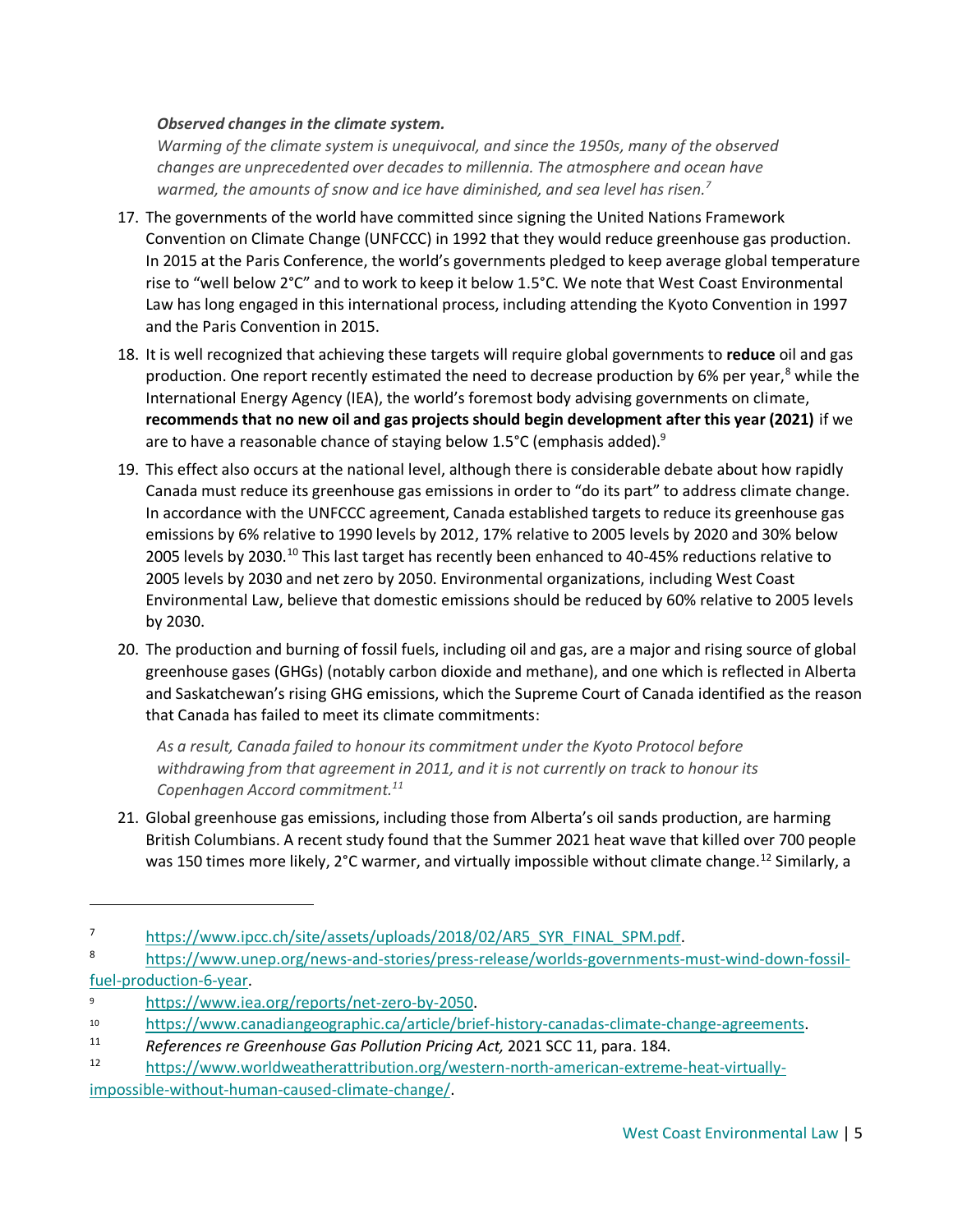#### *Observed changes in the climate system.*

*Warming of the climate system is unequivocal, and since the 1950s, many of the observed changes are unprecedented over decades to millennia. The atmosphere and ocean have warmed, the amounts of snow and ice have diminished, and sea level has risen.<sup>7</sup>*

- 17. The governments of the world have committed since signing the United Nations Framework Convention on Climate Change (UNFCCC) in 1992 that they would reduce greenhouse gas production. In 2015 at the Paris Conference, the world's governments pledged to keep average global temperature rise to "well below 2°C" and to work to keep it below 1.5°C. We note that West Coast Environmental Law has long engaged in this international process, including attending the Kyoto Convention in 1997 and the Paris Convention in 2015.
- 18. It is well recognized that achieving these targets will require global governments to **reduce** oil and gas production. One report recently estimated the need to decrease production by 6% per year,<sup>8</sup> while the International Energy Agency (IEA), the world's foremost body advising governments on climate, **recommends that no new oil and gas projects should begin development after this year (2021)** if we are to have a reasonable chance of staying below 1.5°C (emphasis added).<sup>9</sup>
- 19. This effect also occurs at the national level, although there is considerable debate about how rapidly Canada must reduce its greenhouse gas emissions in order to "do its part" to address climate change. In accordance with the UNFCCC agreement, Canada established targets to reduce its greenhouse gas emissions by 6% relative to 1990 levels by 2012, 17% relative to 2005 levels by 2020 and 30% below 2005 levels by 2030.<sup>10</sup> This last target has recently been enhanced to 40-45% reductions relative to 2005 levels by 2030 and net zero by 2050. Environmental organizations, including West Coast Environmental Law, believe that domestic emissions should be reduced by 60% relative to 2005 levels by 2030.
- 20. The production and burning of fossil fuels, including oil and gas, are a major and rising source of global greenhouse gases (GHGs) (notably carbon dioxide and methane), and one which is reflected in Alberta and Saskatchewan's rising GHG emissions, which the Supreme Court of Canada identified as the reason that Canada has failed to meet its climate commitments:

*As a result, Canada failed to honour its commitment under the Kyoto Protocol before withdrawing from that agreement in 2011, and it is not currently on track to honour its Copenhagen Accord commitment.<sup>11</sup>*

21. Global greenhouse gas emissions, including those from Alberta's oil sands production, are harming British Columbians. A recent study found that the Summer 2021 heat wave that killed over 700 people was 150 times more likely, 2°C warmer, and virtually impossible without climate change.<sup>12</sup> Similarly, a

<sup>7</sup> [https://www.ipcc.ch/site/assets/uploads/2018/02/AR5\\_SYR\\_FINAL\\_SPM.pdf.](https://www.ipcc.ch/site/assets/uploads/2018/02/AR5_SYR_FINAL_SPM.pdf)

<sup>8</sup> [https://www.unep.org/news-and-stories/press-release/worlds-governments-must-wind-down-fossil](https://www.unep.org/news-and-stories/press-release/worlds-governments-must-wind-down-fossil-fuel-production-6-year)[fuel-production-6-year.](https://www.unep.org/news-and-stories/press-release/worlds-governments-must-wind-down-fossil-fuel-production-6-year)

<sup>9</sup> [https://www.iea.org/reports/net-zero-by-2050.](https://www.iea.org/reports/net-zero-by-2050)

<sup>10</sup> [https://www.canadiangeographic.ca/article/brief-history-canadas-climate-change-agreements.](https://www.canadiangeographic.ca/article/brief-history-canadas-climate-change-agreements)

<sup>11</sup> *References re Greenhouse Gas Pollution Pricing Act,* 2021 SCC 11, para. 184.

[https://www.worldweatherattribution.org/western-north-american-extreme-heat-virtually](https://www.worldweatherattribution.org/western-north-american-extreme-heat-virtually-impossible-without-human-caused-climate-change/)[impossible-without-human-caused-climate-change/.](https://www.worldweatherattribution.org/western-north-american-extreme-heat-virtually-impossible-without-human-caused-climate-change/)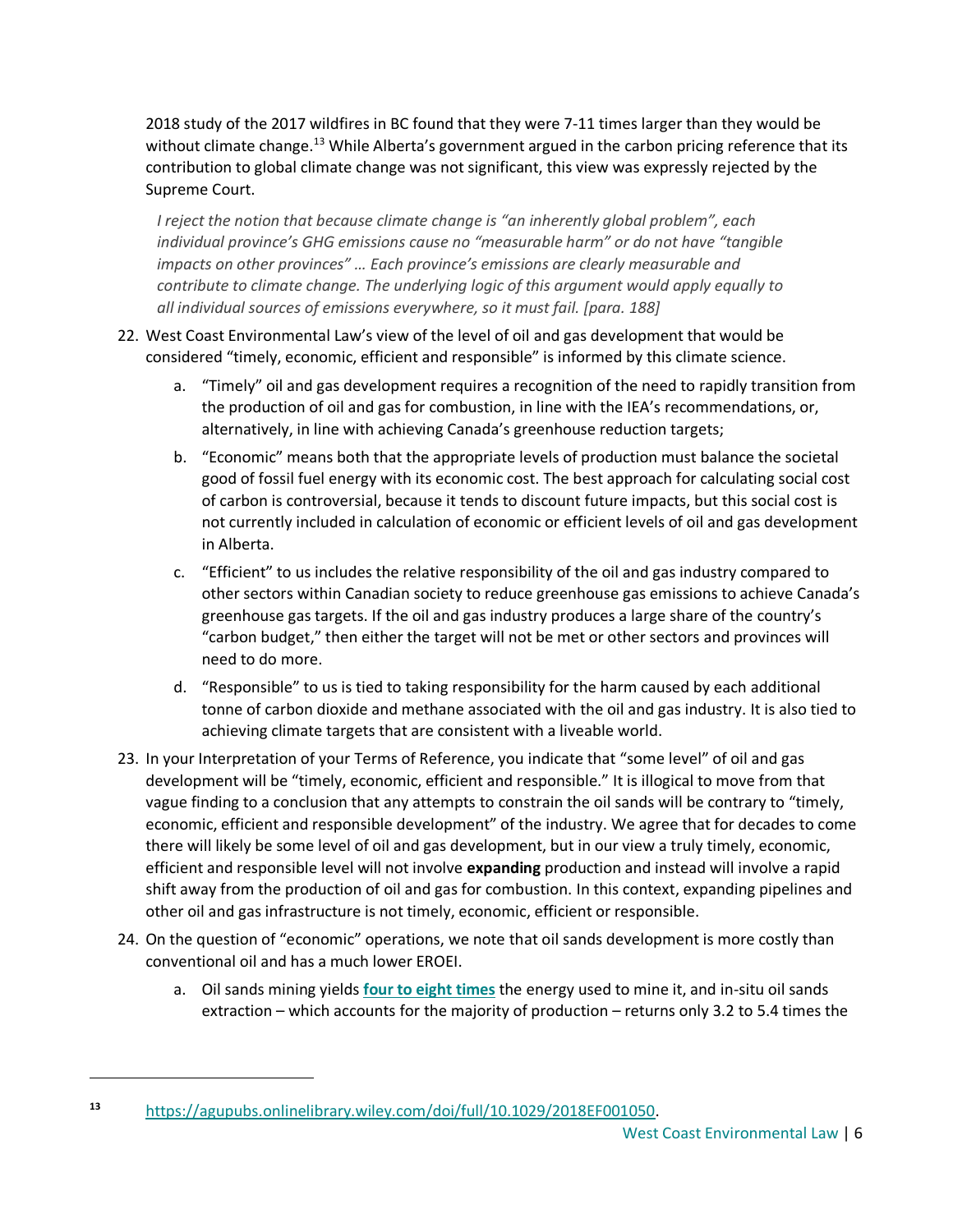2018 study of the 2017 wildfires in BC found that they were 7-11 times larger than they would be without climate change.<sup>13</sup> While Alberta's government argued in the carbon pricing reference that its contribution to global climate change was not significant, this view was expressly rejected by the Supreme Court.

*I reject the notion that because climate change is "an inherently global problem", each individual province's GHG emissions cause no "measurable harm" or do not have "tangible impacts on other provinces" … Each province's emissions are clearly measurable and contribute to climate change. The underlying logic of this argument would apply equally to all individual sources of emissions everywhere, so it must fail. [para. 188]*

### 22. West Coast Environmental Law's view of the level of oil and gas development that would be considered "timely, economic, efficient and responsible" is informed by this climate science.

- a. "Timely" oil and gas development requires a recognition of the need to rapidly transition from the production of oil and gas for combustion, in line with the IEA's recommendations, or, alternatively, in line with achieving Canada's greenhouse reduction targets;
- b. "Economic" means both that the appropriate levels of production must balance the societal good of fossil fuel energy with its economic cost. The best approach for calculating social cost of carbon is controversial, because it tends to discount future impacts, but this social cost is not currently included in calculation of economic or efficient levels of oil and gas development in Alberta.
- c. "Efficient" to us includes the relative responsibility of the oil and gas industry compared to other sectors within Canadian society to reduce greenhouse gas emissions to achieve Canada's greenhouse gas targets. If the oil and gas industry produces a large share of the country's "carbon budget," then either the target will not be met or other sectors and provinces will need to do more.
- d. "Responsible" to us is tied to taking responsibility for the harm caused by each additional tonne of carbon dioxide and methane associated with the oil and gas industry. It is also tied to achieving climate targets that are consistent with a liveable world.
- 23. In your Interpretation of your Terms of Reference, you indicate that "some level" of oil and gas development will be "timely, economic, efficient and responsible." It is illogical to move from that vague finding to a conclusion that any attempts to constrain the oil sands will be contrary to "timely, economic, efficient and responsible development" of the industry. We agree that for decades to come there will likely be some level of oil and gas development, but in our view a truly timely, economic, efficient and responsible level will not involve **expanding** production and instead will involve a rapid shift away from the production of oil and gas for combustion. In this context, expanding pipelines and other oil and gas infrastructure is not timely, economic, efficient or responsible.
- 24. On the question of "economic" operations, we note that oil sands development is more costly than conventional oil and has a much lower EROEI.
	- a. Oil sands mining yields **[four to eight times](https://www.mdpi.com/1996-1073/10/5/614/htm)** the energy used to mine it, and in-situ oil sands extraction – which accounts for the majority of production – returns only 3.2 to 5.4 times the

**<sup>13</sup>** [https://agupubs.onlinelibrary.wiley.com/doi/full/10.1029/2018EF001050.](https://agupubs.onlinelibrary.wiley.com/doi/full/10.1029/2018EF001050)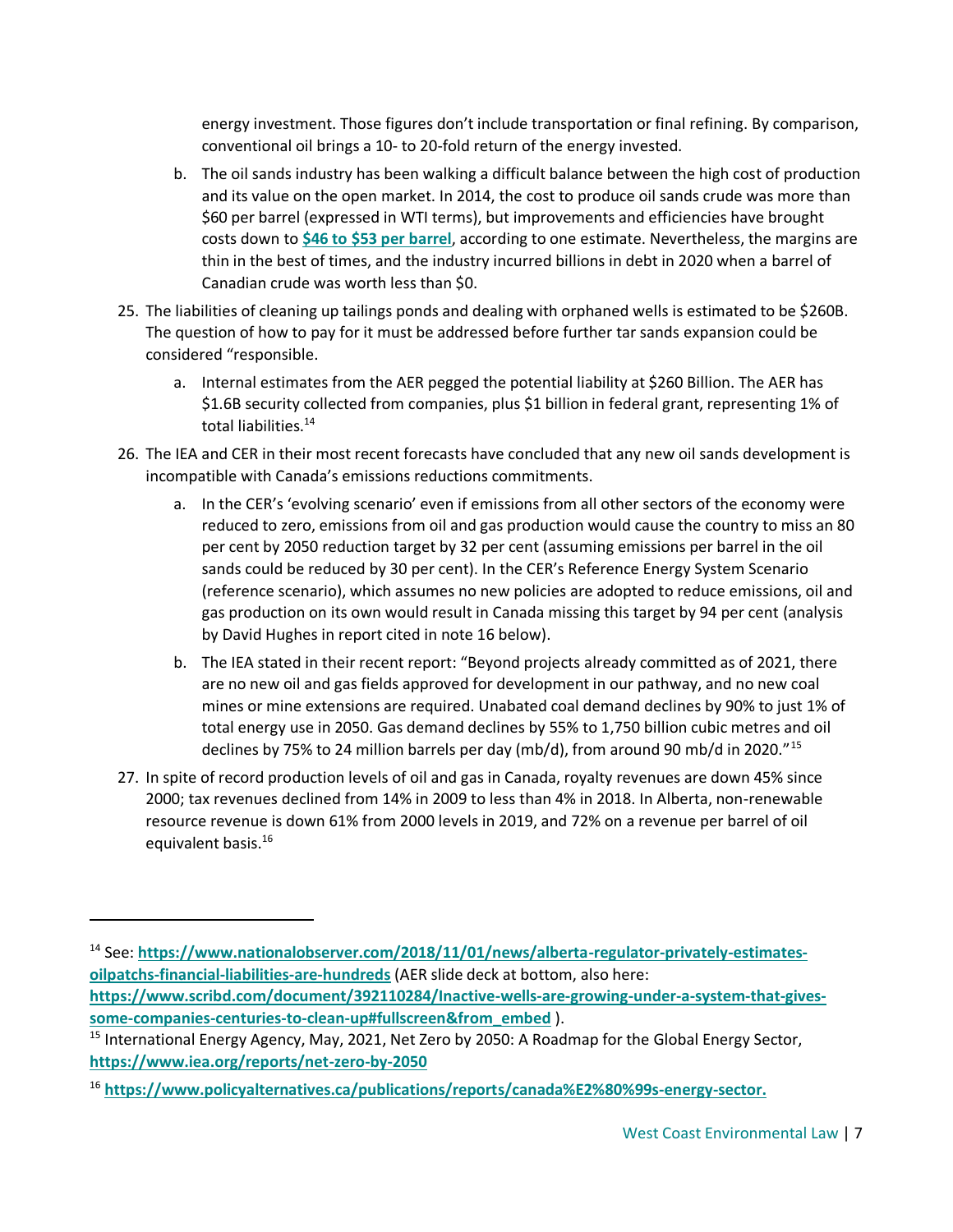energy investment. Those figures don't include transportation or final refining. By comparison, conventional oil brings a 10- to 20-fold return of the energy invested.

- b. The oil sands industry has been walking a difficult balance between the high cost of production and its value on the open market. In 2014, the cost to produce oil sands crude was more than \$60 per barrel (expressed in WTI terms), but improvements and efficiencies have brought costs down to **[\\$46 to \\$53 per barrel](https://www.rystadenergy.com/newsevents/news/newsletters/EandP/bit-by-bitumen-canada-oil-sands-players-target-smaller-cheaper-expansions/)**, according to one estimate. Nevertheless, the margins are thin in the best of times, and the industry incurred billions in debt in 2020 when a barrel of Canadian crude was worth less than \$0.
- 25. The liabilities of cleaning up tailings ponds and dealing with orphaned wells is estimated to be \$260B. The question of how to pay for it must be addressed before further tar sands expansion could be considered "responsible.
	- a. Internal estimates from the AER pegged the potential liability at \$260 Billion. The AER has \$1.6B security collected from companies, plus \$1 billion in federal grant, representing 1% of total liabilities.<sup>14</sup>
- 26. The IEA and CER in their most recent forecasts have concluded that any new oil sands development is incompatible with Canada's emissions reductions commitments.
	- a. In the CER's 'evolving scenario' even if emissions from all other sectors of the economy were reduced to zero, emissions from oil and gas production would cause the country to miss an 80 per cent by 2050 reduction target by 32 per cent (assuming emissions per barrel in the oil sands could be reduced by 30 per cent). In the CER's Reference Energy System Scenario (reference scenario), which assumes no new policies are adopted to reduce emissions, oil and gas production on its own would result in Canada missing this target by 94 per cent (analysis by David Hughes in report cited in note 16 below).
	- b. The IEA stated in their recent report: "Beyond projects already committed as of 2021, there are no new oil and gas fields approved for development in our pathway, and no new coal mines or mine extensions are required. Unabated coal demand declines by 90% to just 1% of total energy use in 2050. Gas demand declines by 55% to 1,750 billion cubic metres and oil declines by 75% to 24 million barrels per day (mb/d), from around 90 mb/d in 2020."<sup>15</sup>
- 27. In spite of record production levels of oil and gas in Canada, royalty revenues are down 45% since 2000; tax revenues declined from 14% in 2009 to less than 4% in 2018. In Alberta, non-renewable resource revenue is down 61% from 2000 levels in 2019, and 72% on a revenue per barrel of oil equivalent basis.<sup>16</sup>

<sup>&</sup>lt;sup>14</sup> See: [https://www.nationalobserver.com/2018/11/01/news/alberta-regulator-privately-estimates](https://www.nationalobserver.com/2018/11/01/news/alberta-regulator-privately-estimates-oilpatchs-financial-liabilities-are-hundreds)**[oilpatchs-financial-liabilities-are-hundreds](https://www.nationalobserver.com/2018/11/01/news/alberta-regulator-privately-estimates-oilpatchs-financial-liabilities-are-hundreds)** (AER slide deck at bottom, also here: **[https://www.scribd.com/document/392110284/Inactive-wells-are-growing-under-a-system-that-gives](https://www.scribd.com/document/392110284/Inactive-wells-are-growing-under-a-system-that-gives-some-companies-centuries-to-clean-up#fullscreen&from_embed)[some-companies-centuries-to-clean-up#fullscreen&from\\_embed](https://www.scribd.com/document/392110284/Inactive-wells-are-growing-under-a-system-that-gives-some-companies-centuries-to-clean-up#fullscreen&from_embed)** ).

<sup>&</sup>lt;sup>15</sup> International Energy Agency, May, 2021, Net Zero by 2050: A Roadmap for the Global Energy Sector, **<https://www.iea.org/reports/net-zero-by-2050>**

<sup>16</sup> **[https://www.policyalternatives.ca/publications/reports/canada%E2%80%99s-energy-sector.](https://www.policyalternatives.ca/publications/reports/canada%E2%80%99s-energy-sector)**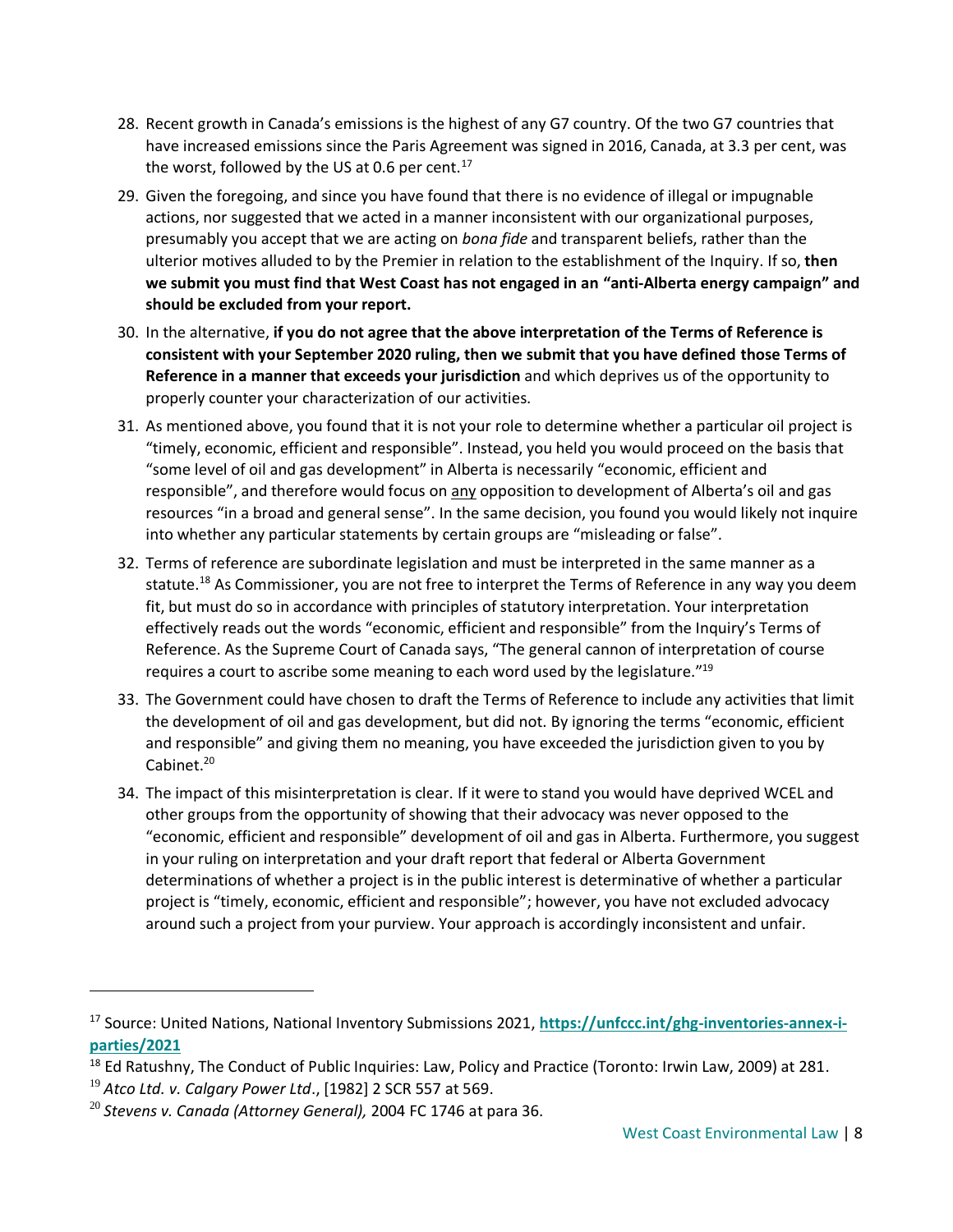- 28. Recent growth in Canada's emissions is the highest of any G7 country. Of the two G7 countries that have increased emissions since the Paris Agreement was signed in 2016, Canada, at 3.3 per cent, was the worst, followed by the US at 0.6 per cent.<sup>17</sup>
- 29. Given the foregoing, and since you have found that there is no evidence of illegal or impugnable actions, nor suggested that we acted in a manner inconsistent with our organizational purposes, presumably you accept that we are acting on *bona fide* and transparent beliefs, rather than the ulterior motives alluded to by the Premier in relation to the establishment of the Inquiry. If so, **then we submit you must find that West Coast has not engaged in an "anti-Alberta energy campaign" and should be excluded from your report.**
- 30. In the alternative, **if you do not agree that the above interpretation of the Terms of Reference is consistent with your September 2020 ruling, then we submit that you have defined those Terms of Reference in a manner that exceeds your jurisdiction** and which deprives us of the opportunity to properly counter your characterization of our activities.
- 31. As mentioned above, you found that it is not your role to determine whether a particular oil project is "timely, economic, efficient and responsible". Instead, you held you would proceed on the basis that "some level of oil and gas development" in Alberta is necessarily "economic, efficient and responsible", and therefore would focus on any opposition to development of Alberta's oil and gas resources "in a broad and general sense". In the same decision, you found you would likely not inquire into whether any particular statements by certain groups are "misleading or false".
- 32. Terms of reference are subordinate legislation and must be interpreted in the same manner as a statute.<sup>18</sup> As Commissioner, you are not free to interpret the Terms of Reference in any way you deem fit, but must do so in accordance with principles of statutory interpretation. Your interpretation effectively reads out the words "economic, efficient and responsible" from the Inquiry's Terms of Reference. As the Supreme Court of Canada says, "The general cannon of interpretation of course requires a court to ascribe some meaning to each word used by the legislature." $19$
- 33. The Government could have chosen to draft the Terms of Reference to include any activities that limit the development of oil and gas development, but did not. By ignoring the terms "economic, efficient and responsible" and giving them no meaning, you have exceeded the jurisdiction given to you by Cabinet.<sup>20</sup>
- 34. The impact of this misinterpretation is clear. If it were to stand you would have deprived WCEL and other groups from the opportunity of showing that their advocacy was never opposed to the "economic, efficient and responsible" development of oil and gas in Alberta. Furthermore, you suggest in your ruling on interpretation and your draft report that federal or Alberta Government determinations of whether a project is in the public interest is determinative of whether a particular project is "timely, economic, efficient and responsible"; however, you have not excluded advocacy around such a project from your purview. Your approach is accordingly inconsistent and unfair.

<sup>17</sup> Source: United Nations, National Inventory Submissions 2021, **[https://unfccc.int/ghg-inventories-annex-i](https://unfccc.int/ghg-inventories-annex-i-parties/2021)[parties/2021](https://unfccc.int/ghg-inventories-annex-i-parties/2021)**

<sup>&</sup>lt;sup>18</sup> Ed Ratushny, The Conduct of Public Inquiries: Law, Policy and Practice (Toronto: Irwin Law, 2009) at 281.

<sup>19</sup> *Atco Ltd. v. Calgary Power Ltd*., [1982] 2 SCR 557 at 569.

<sup>20</sup> *Stevens v. Canada (Attorney General),* 2004 FC 1746 at para 36.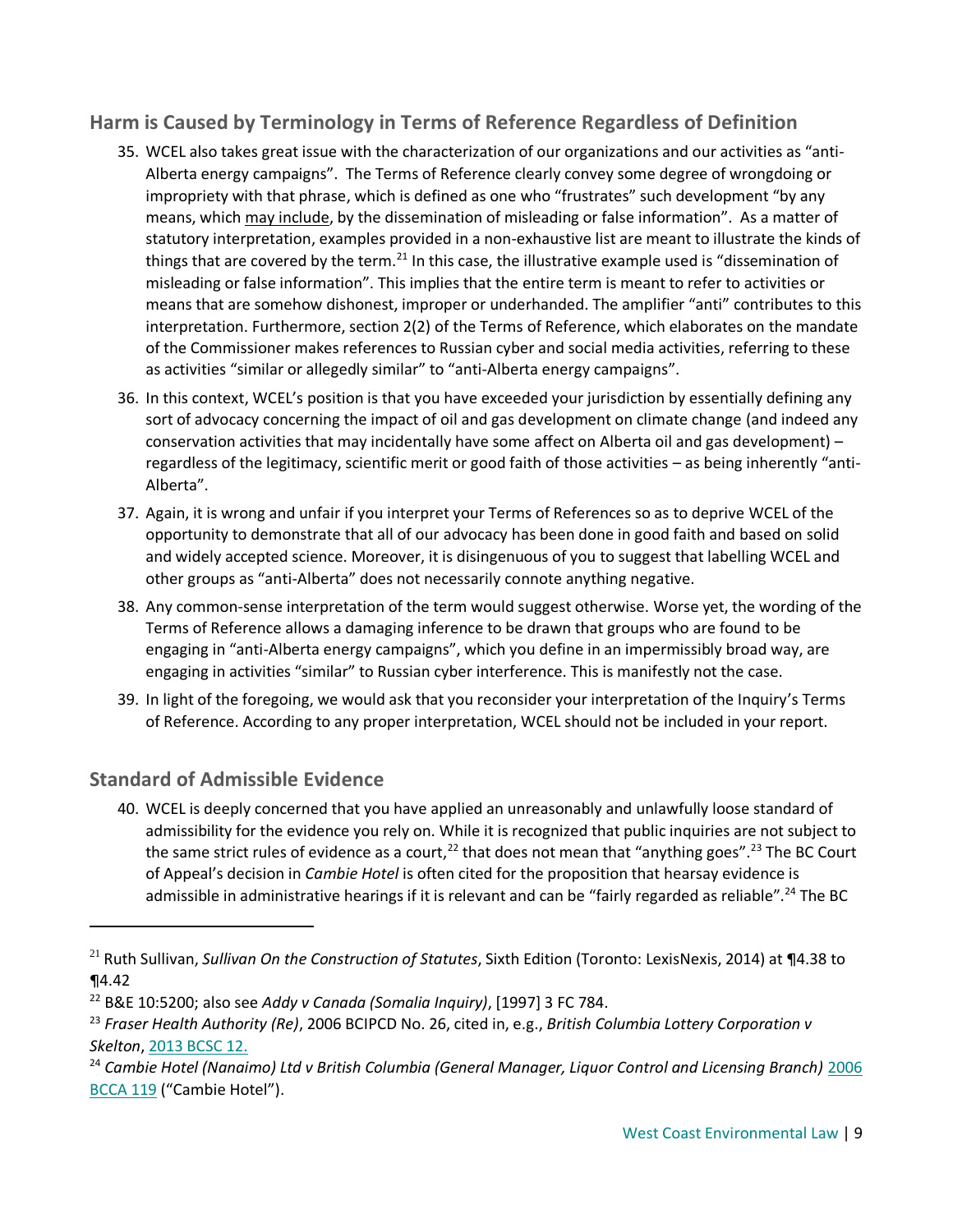# **Harm is Caused by Terminology in Terms of Reference Regardless of Definition**

- 35. WCEL also takes great issue with the characterization of our organizations and our activities as "anti-Alberta energy campaigns". The Terms of Reference clearly convey some degree of wrongdoing or impropriety with that phrase, which is defined as one who "frustrates" such development "by any means, which may include, by the dissemination of misleading or false information". As a matter of statutory interpretation, examples provided in a non-exhaustive list are meant to illustrate the kinds of things that are covered by the term.<sup>21</sup> In this case, the illustrative example used is "dissemination of misleading or false information". This implies that the entire term is meant to refer to activities or means that are somehow dishonest, improper or underhanded. The amplifier "anti" contributes to this interpretation. Furthermore, section 2(2) of the Terms of Reference, which elaborates on the mandate of the Commissioner makes references to Russian cyber and social media activities, referring to these as activities "similar or allegedly similar" to "anti-Alberta energy campaigns".
- 36. In this context, WCEL's position is that you have exceeded your jurisdiction by essentially defining any sort of advocacy concerning the impact of oil and gas development on climate change (and indeed any conservation activities that may incidentally have some affect on Alberta oil and gas development) – regardless of the legitimacy, scientific merit or good faith of those activities – as being inherently "anti-Alberta".
- 37. Again, it is wrong and unfair if you interpret your Terms of References so as to deprive WCEL of the opportunity to demonstrate that all of our advocacy has been done in good faith and based on solid and widely accepted science. Moreover, it is disingenuous of you to suggest that labelling WCEL and other groups as "anti-Alberta" does not necessarily connote anything negative.
- 38. Any common-sense interpretation of the term would suggest otherwise. Worse yet, the wording of the Terms of Reference allows a damaging inference to be drawn that groups who are found to be engaging in "anti-Alberta energy campaigns", which you define in an impermissibly broad way, are engaging in activities "similar" to Russian cyber interference. This is manifestly not the case.
- 39. In light of the foregoing, we would ask that you reconsider your interpretation of the Inquiry's Terms of Reference. According to any proper interpretation, WCEL should not be included in your report.

# **Standard of Admissible Evidence**

 $\overline{a}$ 

40. WCEL is deeply concerned that you have applied an unreasonably and unlawfully loose standard of admissibility for the evidence you rely on. While it is recognized that public inquiries are not subject to the same strict rules of evidence as a court,<sup>22</sup> that does not mean that "anything goes".<sup>23</sup> The BC Court of Appeal's decision in *Cambie Hotel* is often cited for the proposition that hearsay evidence is admissible in administrative hearings if it is relevant and can be "fairly regarded as reliable".<sup>24</sup> The BC

<sup>21</sup> Ruth Sullivan, *Sullivan On the Construction of Statutes*, Sixth Edition (Toronto: LexisNexis, 2014) at ¶4.38 to ¶4.42

<sup>22</sup> B&E 10:5200; also see *Addy v Canada (Somalia Inquiry)*, [1997] 3 FC 784.

<sup>23</sup> *Fraser Health Authority (Re)*, 2006 BCIPCD No. 26, cited in, e.g., *British Columbia Lottery Corporation v Skelton*, [2013 BCSC 12.](https://canlii.ca/t/fvjwg)

<sup>24</sup> *Cambie Hotel (Nanaimo) Ltd v British Columbia (General Manager, Liquor Control and Licensing Branch)* [2006](https://www.canlii.org/en/bc/bcca/doc/2006/2006bcca119/2006bcca119.html)  [BCCA 119](https://www.canlii.org/en/bc/bcca/doc/2006/2006bcca119/2006bcca119.html) ("Cambie Hotel").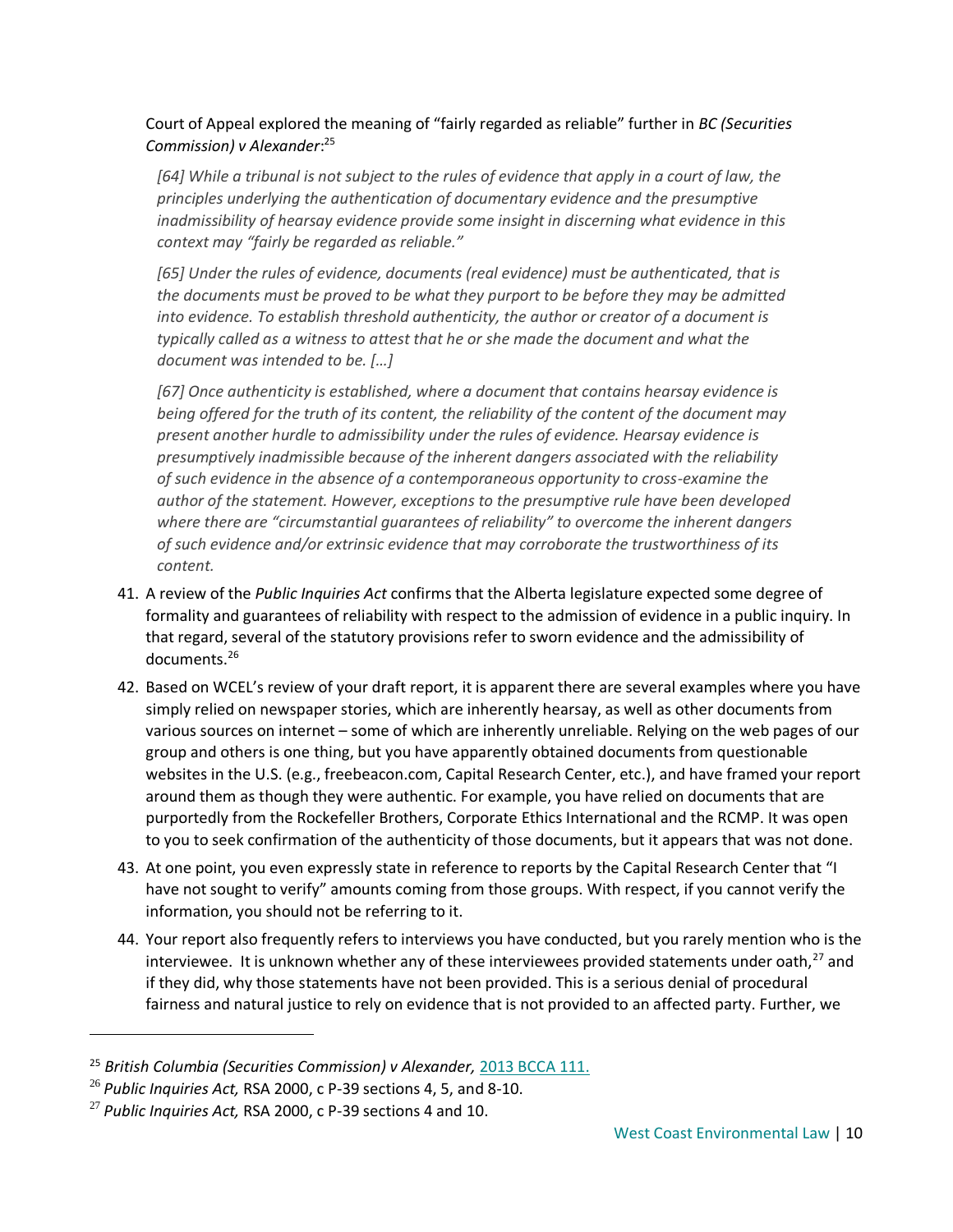Court of Appeal explored the meaning of "fairly regarded as reliable" further in *BC (Securities Commission) v Alexander*: 25

*[64] While a tribunal is not subject to the rules of evidence that apply in a court of law, the principles underlying the authentication of documentary evidence and the presumptive inadmissibility of hearsay evidence provide some insight in discerning what evidence in this context may "fairly be regarded as reliable."*

*[65] Under the rules of evidence, documents (real evidence) must be authenticated, that is the documents must be proved to be what they purport to be before they may be admitted into evidence. To establish threshold authenticity, the author or creator of a document is typically called as a witness to attest that he or she made the document and what the document was intended to be. […]*

*[67] Once authenticity is established, where a document that contains hearsay evidence is being offered for the truth of its content, the reliability of the content of the document may present another hurdle to admissibility under the rules of evidence. Hearsay evidence is presumptively inadmissible because of the inherent dangers associated with the reliability of such evidence in the absence of a contemporaneous opportunity to cross-examine the author of the statement. However, exceptions to the presumptive rule have been developed where there are "circumstantial guarantees of reliability" to overcome the inherent dangers of such evidence and/or extrinsic evidence that may corroborate the trustworthiness of its content.* 

- 41. A review of the *Public Inquiries Act* confirms that the Alberta legislature expected some degree of formality and guarantees of reliability with respect to the admission of evidence in a public inquiry. In that regard, several of the statutory provisions refer to sworn evidence and the admissibility of documents.<sup>26</sup>
- 42. Based on WCEL's review of your draft report, it is apparent there are several examples where you have simply relied on newspaper stories, which are inherently hearsay, as well as other documents from various sources on internet – some of which are inherently unreliable. Relying on the web pages of our group and others is one thing, but you have apparently obtained documents from questionable websites in the U.S. (e.g., freebeacon.com, Capital Research Center, etc.), and have framed your report around them as though they were authentic. For example, you have relied on documents that are purportedly from the Rockefeller Brothers, Corporate Ethics International and the RCMP. It was open to you to seek confirmation of the authenticity of those documents, but it appears that was not done.
- 43. At one point, you even expressly state in reference to reports by the Capital Research Center that "I have not sought to verify" amounts coming from those groups. With respect, if you cannot verify the information, you should not be referring to it.
- 44. Your report also frequently refers to interviews you have conducted, but you rarely mention who is the interviewee. It is unknown whether any of these interviewees provided statements under oath, $^{27}$  and if they did, why those statements have not been provided. This is a serious denial of procedural fairness and natural justice to rely on evidence that is not provided to an affected party. Further, we

<sup>25</sup> *British Columbia (Securities Commission) v Alexander,* [2013 BCCA 111.](https://canlii.ca/t/fwj92)

<sup>26</sup> *Public Inquiries Act,* RSA 2000, c P-39 sections 4, 5, and 8-10.

<sup>27</sup> *Public Inquiries Act,* RSA 2000, c P-39 sections 4 and 10.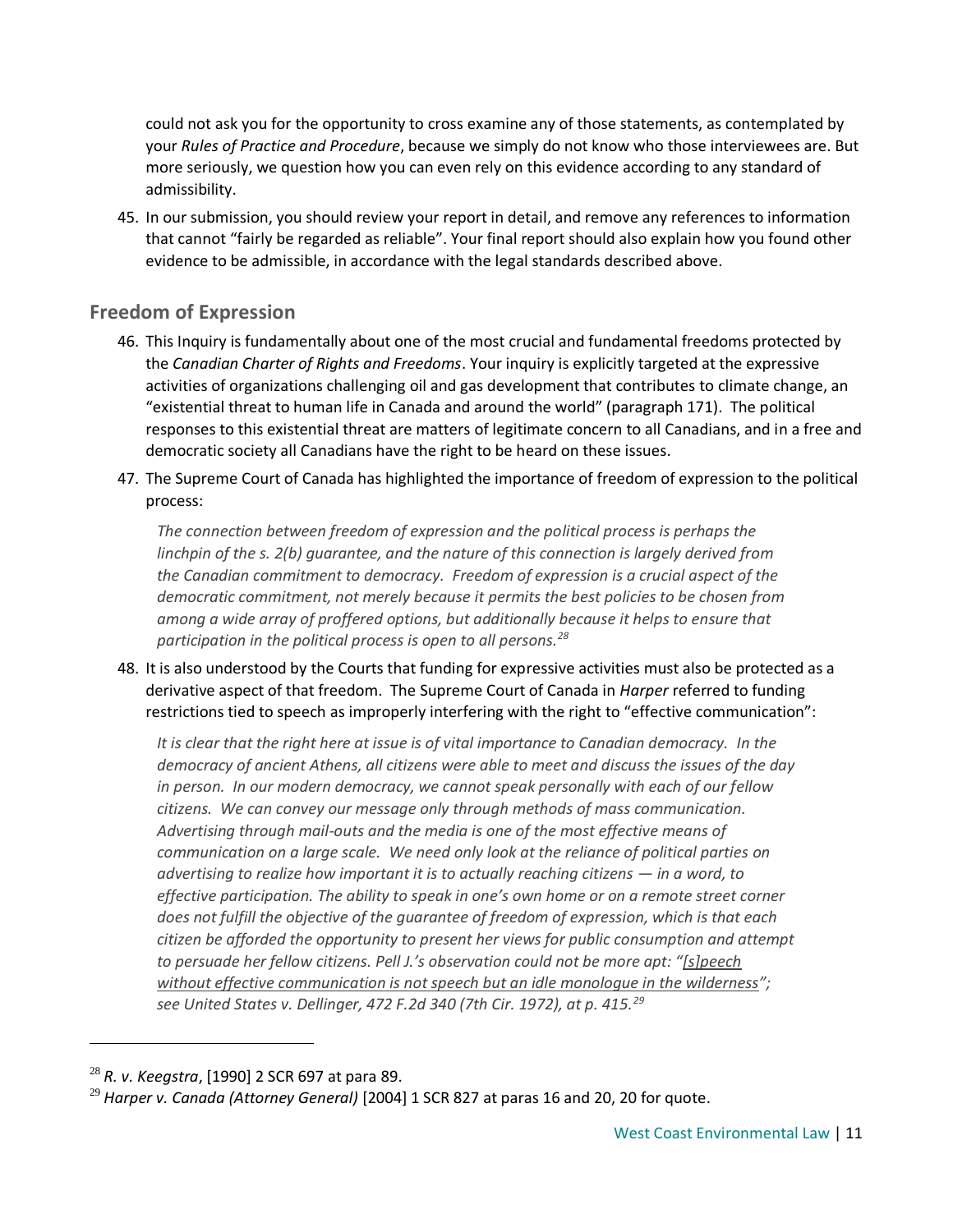could not ask you for the opportunity to cross examine any of those statements, as contemplated by your *Rules of Practice and Procedure*, because we simply do not know who those interviewees are. But more seriously, we question how you can even rely on this evidence according to any standard of admissibility.

45. In our submission, you should review your report in detail, and remove any references to information that cannot "fairly be regarded as reliable". Your final report should also explain how you found other evidence to be admissible, in accordance with the legal standards described above.

# **Freedom of Expression**

- 46. This Inquiry is fundamentally about one of the most crucial and fundamental freedoms protected by the *Canadian Charter of Rights and Freedoms*. Your inquiry is explicitly targeted at the expressive activities of organizations challenging oil and gas development that contributes to climate change, an "existential threat to human life in Canada and around the world" (paragraph 171). The political responses to this existential threat are matters of legitimate concern to all Canadians, and in a free and democratic society all Canadians have the right to be heard on these issues.
- 47. The Supreme Court of Canada has highlighted the importance of freedom of expression to the political process:

*The connection between freedom of expression and the political process is perhaps the linchpin of the s. 2(b) guarantee, and the nature of this connection is largely derived from the Canadian commitment to democracy. Freedom of expression is a crucial aspect of the democratic commitment, not merely because it permits the best policies to be chosen from among a wide array of proffered options, but additionally because it helps to ensure that participation in the political process is open to all persons.<sup>28</sup>*

48. It is also understood by the Courts that funding for expressive activities must also be protected as a derivative aspect of that freedom. The Supreme Court of Canada in *Harper* referred to funding restrictions tied to speech as improperly interfering with the right to "effective communication":

*It is clear that the right here at issue is of vital importance to Canadian democracy. In the democracy of ancient Athens, all citizens were able to meet and discuss the issues of the day in person. In our modern democracy, we cannot speak personally with each of our fellow citizens. We can convey our message only through methods of mass communication. Advertising through mail-outs and the media is one of the most effective means of communication on a large scale. We need only look at the reliance of political parties on advertising to realize how important it is to actually reaching citizens — in a word, to effective participation. The ability to speak in one's own home or on a remote street corner does not fulfill the objective of the guarantee of freedom of expression, which is that each citizen be afforded the opportunity to present her views for public consumption and attempt to persuade her fellow citizens. Pell J.'s observation could not be more apt: "[s]peech without effective communication is not speech but an idle monologue in the wilderness"; see United States v. Dellinger, 472 F.2d 340 (7th Cir. 1972), at p. 415.<sup>29</sup>*

<sup>28</sup> *R. v. Keegstra*, [1990] 2 SCR 697 at para 89.

<sup>29</sup> *Harper v. Canada (Attorney General)* [2004] 1 SCR 827 at paras 16 and 20, 20 for quote.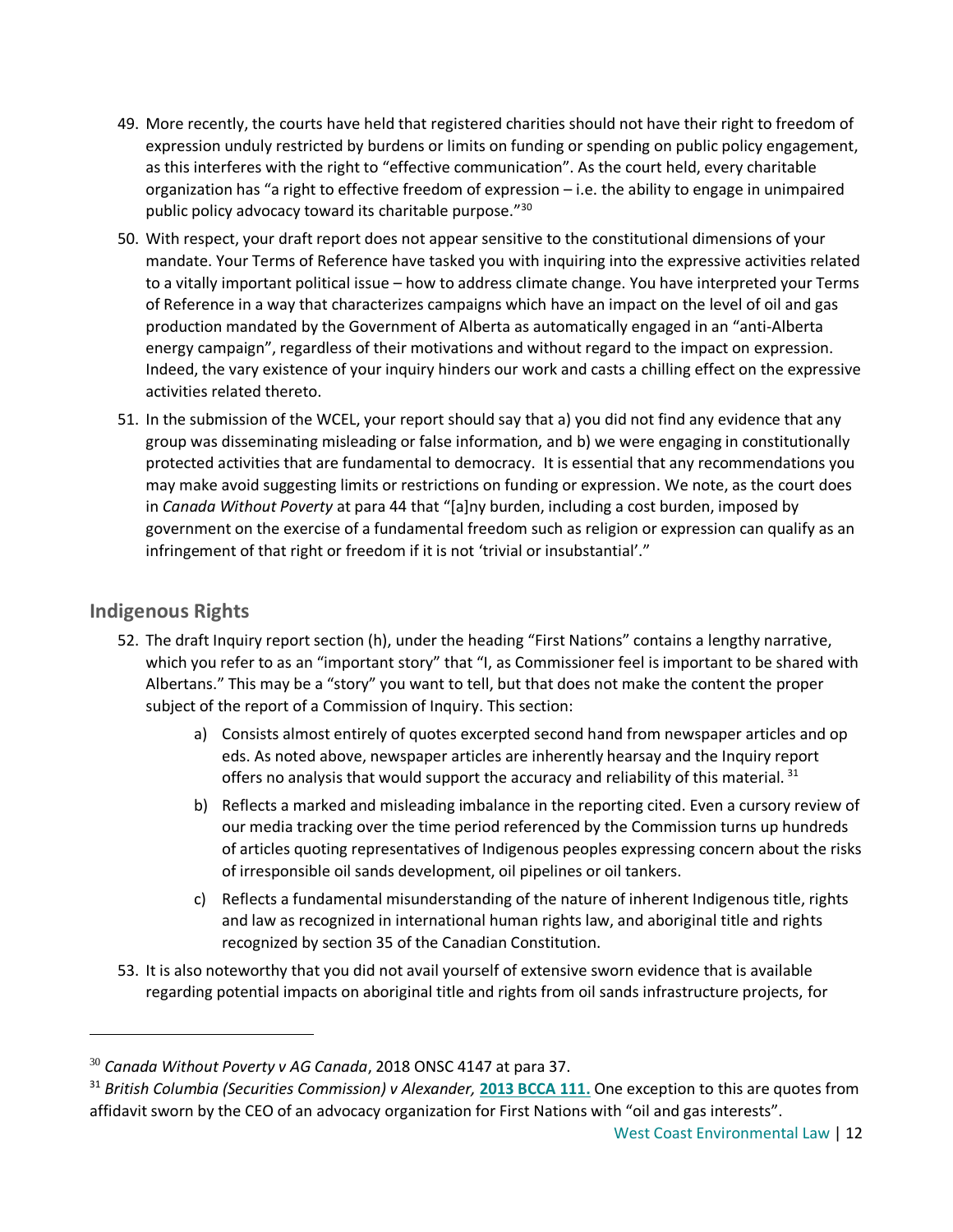- 49. More recently, the courts have held that registered charities should not have their right to freedom of expression unduly restricted by burdens or limits on funding or spending on public policy engagement, as this interferes with the right to "effective communication". As the court held, every charitable organization has "a right to effective freedom of expression  $-$  i.e. the ability to engage in unimpaired public policy advocacy toward its charitable purpose."<sup>30</sup>
- 50. With respect, your draft report does not appear sensitive to the constitutional dimensions of your mandate. Your Terms of Reference have tasked you with inquiring into the expressive activities related to a vitally important political issue – how to address climate change. You have interpreted your Terms of Reference in a way that characterizes campaigns which have an impact on the level of oil and gas production mandated by the Government of Alberta as automatically engaged in an "anti-Alberta energy campaign", regardless of their motivations and without regard to the impact on expression. Indeed, the vary existence of your inquiry hinders our work and casts a chilling effect on the expressive activities related thereto.
- 51. In the submission of the WCEL, your report should say that a) you did not find any evidence that any group was disseminating misleading or false information, and b) we were engaging in constitutionally protected activities that are fundamental to democracy. It is essential that any recommendations you may make avoid suggesting limits or restrictions on funding or expression. We note, as the court does in *Canada Without Poverty* at para 44 that "[a]ny burden, including a cost burden, imposed by government on the exercise of a fundamental freedom such as religion or expression can qualify as an infringement of that right or freedom if it is not 'trivial or insubstantial'."

# **Indigenous Rights**

- 52. The draft Inquiry report section (h), under the heading "First Nations" contains a lengthy narrative, which you refer to as an "important story" that "I, as Commissioner feel is important to be shared with Albertans." This may be a "story" you want to tell, but that does not make the content the proper subject of the report of a Commission of Inquiry. This section:
	- a) Consists almost entirely of quotes excerpted second hand from newspaper articles and op eds. As noted above, newspaper articles are inherently hearsay and the Inquiry report offers no analysis that would support the accuracy and reliability of this material. 31
	- b) Reflects a marked and misleading imbalance in the reporting cited. Even a cursory review of our media tracking over the time period referenced by the Commission turns up hundreds of articles quoting representatives of Indigenous peoples expressing concern about the risks of irresponsible oil sands development, oil pipelines or oil tankers.
	- c) Reflects a fundamental misunderstanding of the nature of inherent Indigenous title, rights and law as recognized in international human rights law, and aboriginal title and rights recognized by section 35 of the Canadian Constitution.
- 53. It is also noteworthy that you did not avail yourself of extensive sworn evidence that is available regarding potential impacts on aboriginal title and rights from oil sands infrastructure projects, for

<sup>30</sup> *Canada Without Poverty v AG Canada*, 2018 ONSC 4147 at para 37.

<sup>&</sup>lt;sup>31</sup> British Columbia (Securities Commission) v Alexander, **[2013 BCCA 111.](https://canlii.ca/t/fwj92)** One exception to this are quotes from affidavit sworn by the CEO of an advocacy organization for First Nations with "oil and gas interests".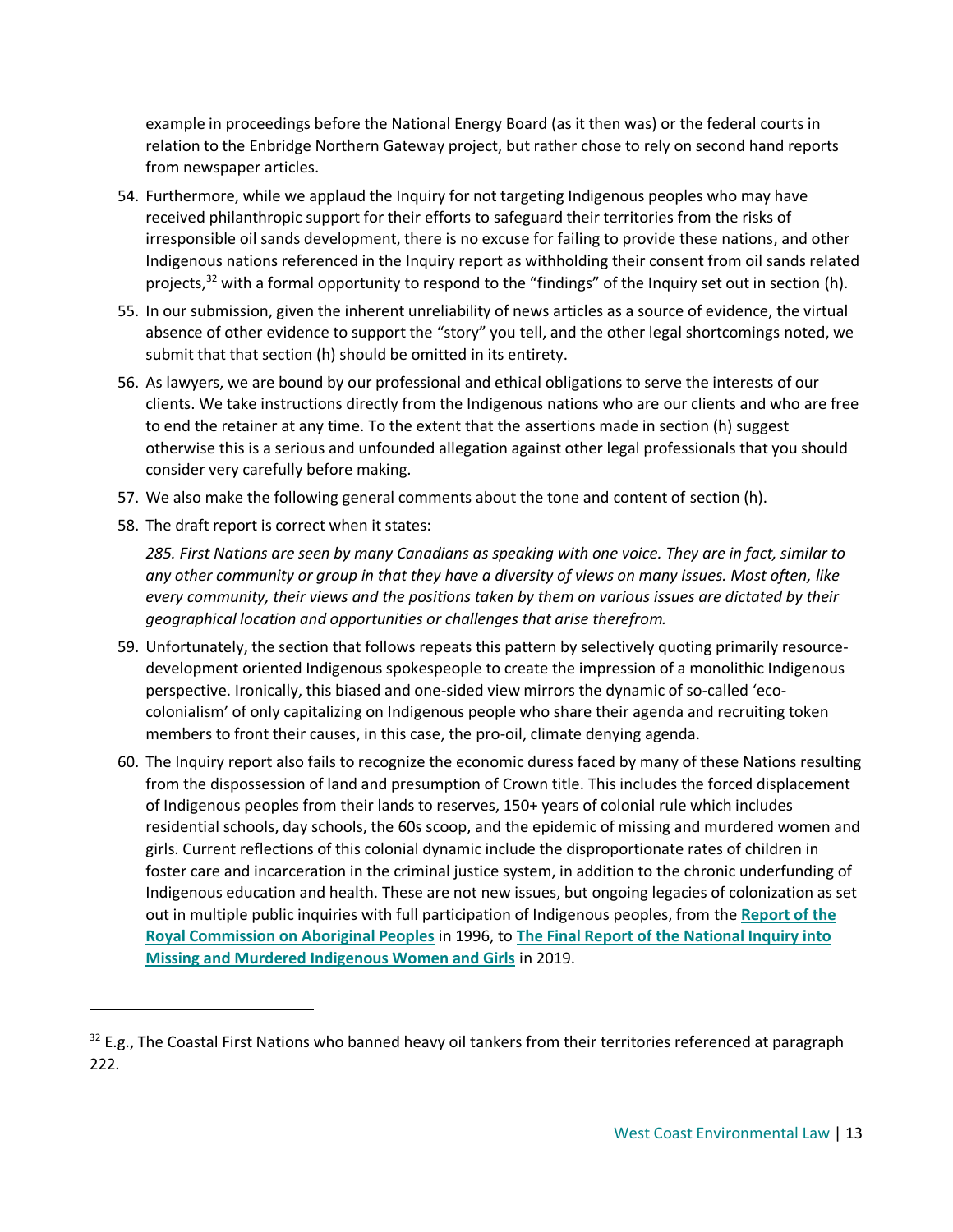example in proceedings before the National Energy Board (as it then was) or the federal courts in relation to the Enbridge Northern Gateway project, but rather chose to rely on second hand reports from newspaper articles.

- 54. Furthermore, while we applaud the Inquiry for not targeting Indigenous peoples who may have received philanthropic support for their efforts to safeguard their territories from the risks of irresponsible oil sands development, there is no excuse for failing to provide these nations, and other Indigenous nations referenced in the Inquiry report as withholding their consent from oil sands related projects,<sup>32</sup> with a formal opportunity to respond to the "findings" of the Inquiry set out in section (h).
- 55. In our submission, given the inherent unreliability of news articles as a source of evidence, the virtual absence of other evidence to support the "story" you tell, and the other legal shortcomings noted, we submit that that section (h) should be omitted in its entirety.
- 56. As lawyers, we are bound by our professional and ethical obligations to serve the interests of our clients. We take instructions directly from the Indigenous nations who are our clients and who are free to end the retainer at any time. To the extent that the assertions made in section (h) suggest otherwise this is a serious and unfounded allegation against other legal professionals that you should consider very carefully before making.
- 57. We also make the following general comments about the tone and content of section (h).
- 58. The draft report is correct when it states:

 $\overline{a}$ 

*285. First Nations are seen by many Canadians as speaking with one voice. They are in fact, similar to any other community or group in that they have a diversity of views on many issues. Most often, like every community, their views and the positions taken by them on various issues are dictated by their geographical location and opportunities or challenges that arise therefrom.*

- 59. Unfortunately, the section that follows repeats this pattern by selectively quoting primarily resourcedevelopment oriented Indigenous spokespeople to create the impression of a monolithic Indigenous perspective. Ironically, this biased and one-sided view mirrors the dynamic of so-called 'ecocolonialism' of only capitalizing on Indigenous people who share their agenda and recruiting token members to front their causes, in this case, the pro-oil, climate denying agenda.
- 60. The Inquiry report also fails to recognize the economic duress faced by many of these Nations resulting from the dispossession of land and presumption of Crown title. This includes the forced displacement of Indigenous peoples from their lands to reserves, 150+ years of colonial rule which includes residential schools, day schools, the 60s scoop, and the epidemic of missing and murdered women and girls. Current reflections of this colonial dynamic include the disproportionate rates of children in foster care and incarceration in the criminal justice system, in addition to the chronic underfunding of Indigenous education and health. These are not new issues, but ongoing legacies of colonization as set out in multiple public inquiries with full participation of Indigenous peoples, from the **[Report of the](https://www.bac-lac.gc.ca/eng/discover/aboriginal-heritage/royal-commission-aboriginal-peoples/Pages/final-report.aspx)  [Royal Commission on Aboriginal Peoples](https://www.bac-lac.gc.ca/eng/discover/aboriginal-heritage/royal-commission-aboriginal-peoples/Pages/final-report.aspx)** in 1996, to **[The Final Report of the National Inquiry into](https://www.mmiwg-ffada.ca/final-report/)  [Missing and Murdered Indigenous Women and Girls](https://www.mmiwg-ffada.ca/final-report/)** in 2019.

<sup>&</sup>lt;sup>32</sup> E.g., The Coastal First Nations who banned heavy oil tankers from their territories referenced at paragraph 222.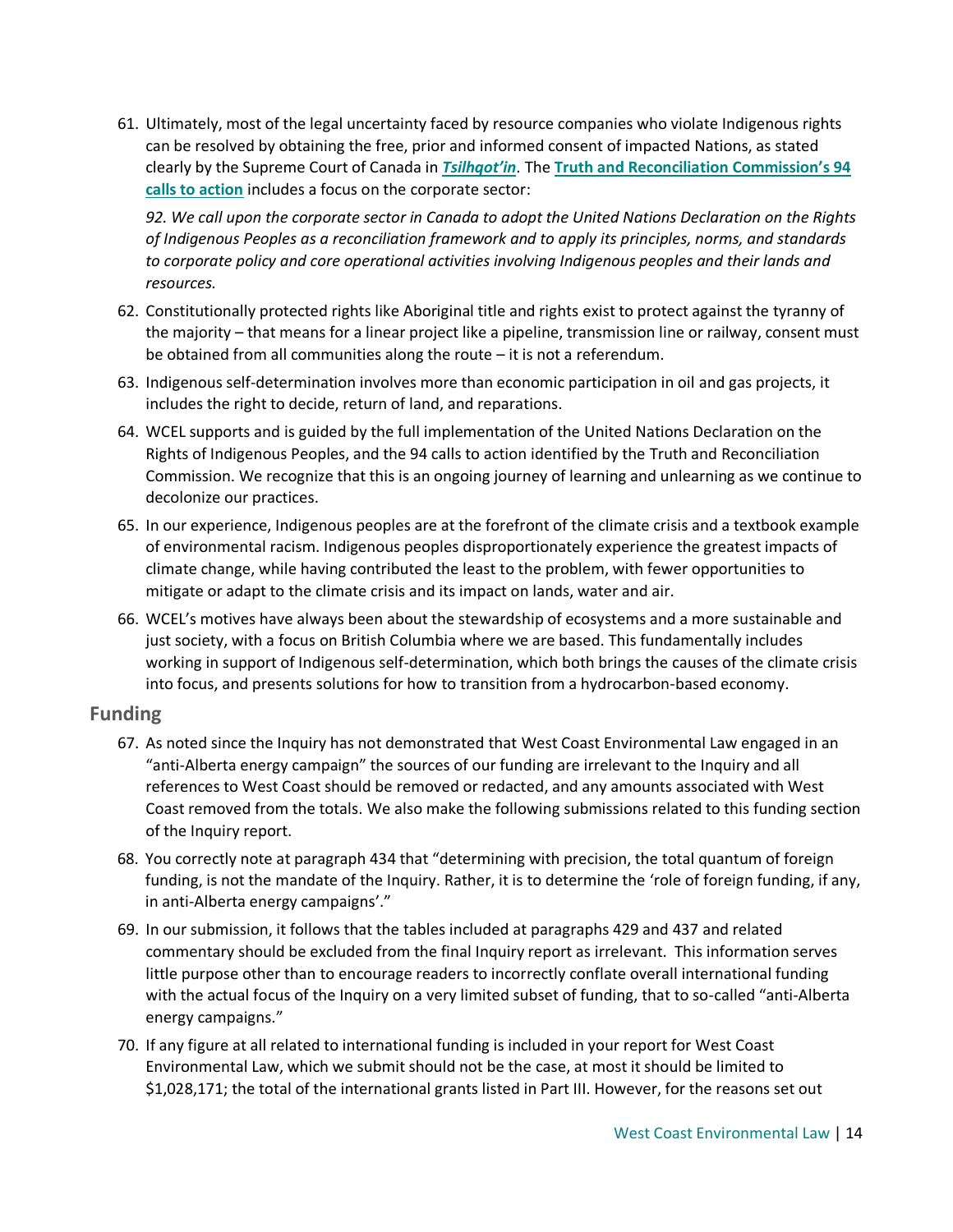61. Ultimately, most of the legal uncertainty faced by resource companies who violate Indigenous rights can be resolved by obtaining the free, prior and informed consent of impacted Nations, as stated clearly by the Supreme Court of Canada in *[Tsilhqot'in](https://scc-csc.lexum.com/scc-csc/scc-csc/en/item/14246/index.do)*. The **Truth and Reconcilia[tion Commission's 94](http://trc.ca/assets/pdf/Calls_to_Action_English2.pdf)  [calls to action](http://trc.ca/assets/pdf/Calls_to_Action_English2.pdf)** includes a focus on the corporate sector:

*92. We call upon the corporate sector in Canada to adopt the United Nations Declaration on the Rights of Indigenous Peoples as a reconciliation framework and to apply its principles, norms, and standards to corporate policy and core operational activities involving Indigenous peoples and their lands and resources.*

- 62. Constitutionally protected rights like Aboriginal title and rights exist to protect against the tyranny of the majority – that means for a linear project like a pipeline, transmission line or railway, consent must be obtained from all communities along the route – it is not a referendum.
- 63. Indigenous self-determination involves more than economic participation in oil and gas projects, it includes the right to decide, return of land, and reparations.
- 64. WCEL supports and is guided by the full implementation of the United Nations Declaration on the Rights of Indigenous Peoples, and the 94 calls to action identified by the Truth and Reconciliation Commission. We recognize that this is an ongoing journey of learning and unlearning as we continue to decolonize our practices.
- 65. In our experience, Indigenous peoples are at the forefront of the climate crisis and a textbook example of environmental racism. Indigenous peoples disproportionately experience the greatest impacts of climate change, while having contributed the least to the problem, with fewer opportunities to mitigate or adapt to the climate crisis and its impact on lands, water and air.
- 66. WCEL's motives have always been about the stewardship of ecosystems and a more sustainable and just society, with a focus on British Columbia where we are based. This fundamentally includes working in support of Indigenous self-determination, which both brings the causes of the climate crisis into focus, and presents solutions for how to transition from a hydrocarbon-based economy.

#### **Funding**

- 67. As noted since the Inquiry has not demonstrated that West Coast Environmental Law engaged in an "anti-Alberta energy campaign" the sources of our funding are irrelevant to the Inquiry and all references to West Coast should be removed or redacted, and any amounts associated with West Coast removed from the totals. We also make the following submissions related to this funding section of the Inquiry report.
- 68. You correctly note at paragraph 434 that "determining with precision, the total quantum of foreign funding, is not the mandate of the Inquiry. Rather, it is to determine the 'role of foreign funding, if any, in anti-Alberta energy campaigns'."
- 69. In our submission, it follows that the tables included at paragraphs 429 and 437 and related commentary should be excluded from the final Inquiry report as irrelevant. This information serves little purpose other than to encourage readers to incorrectly conflate overall international funding with the actual focus of the Inquiry on a very limited subset of funding, that to so-called "anti-Alberta energy campaigns."
- 70. If any figure at all related to international funding is included in your report for West Coast Environmental Law, which we submit should not be the case, at most it should be limited to \$1,028,171; the total of the international grants listed in Part III. However, for the reasons set out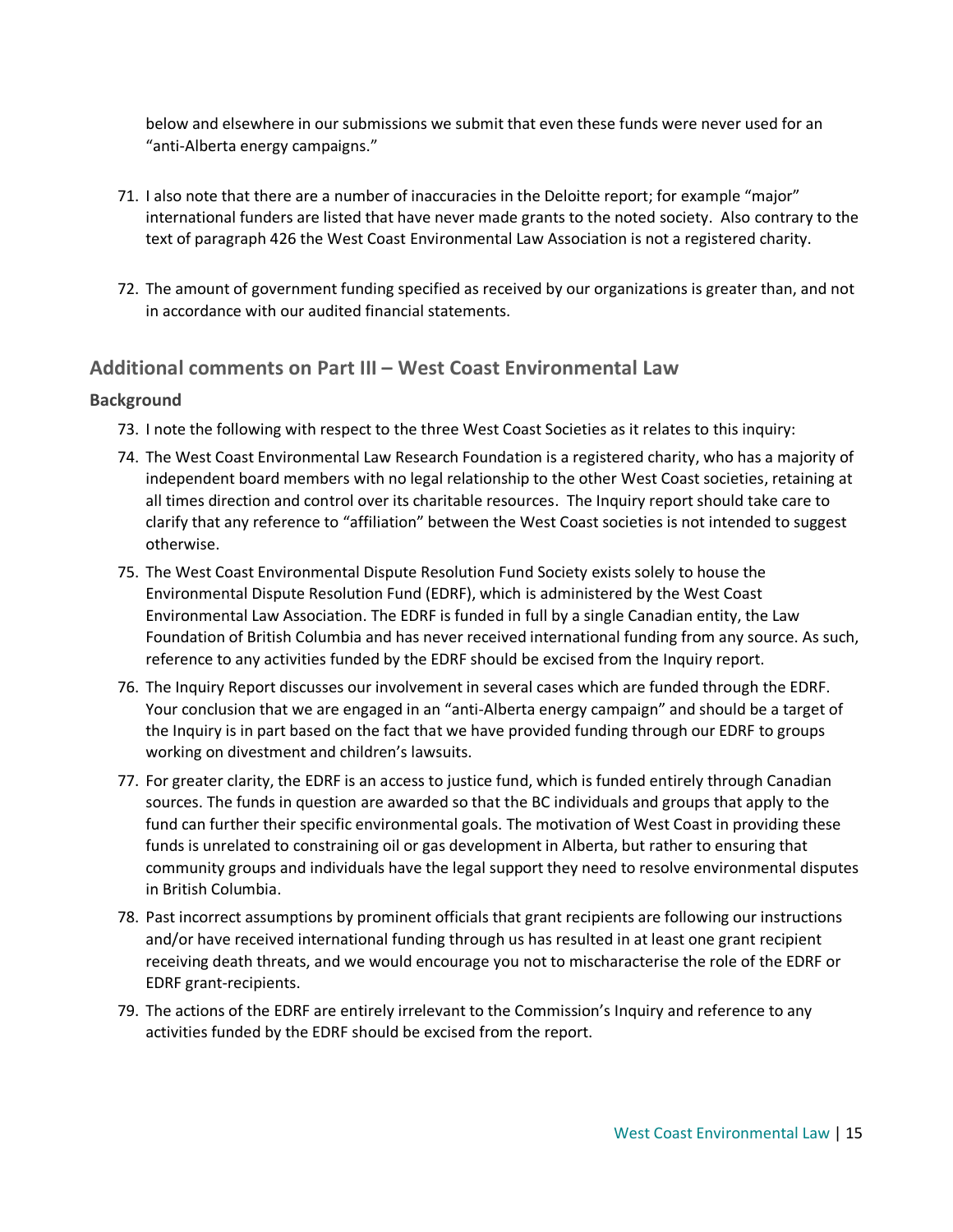below and elsewhere in our submissions we submit that even these funds were never used for an "anti-Alberta energy campaigns."

- 71. I also note that there are a number of inaccuracies in the Deloitte report; for example "major" international funders are listed that have never made grants to the noted society. Also contrary to the text of paragraph 426 the West Coast Environmental Law Association is not a registered charity.
- 72. The amount of government funding specified as received by our organizations is greater than, and not in accordance with our audited financial statements.

# **Additional comments on Part III – West Coast Environmental Law**

#### **Background**

- 73. I note the following with respect to the three West Coast Societies as it relates to this inquiry:
- 74. The West Coast Environmental Law Research Foundation is a registered charity, who has a majority of independent board members with no legal relationship to the other West Coast societies, retaining at all times direction and control over its charitable resources. The Inquiry report should take care to clarify that any reference to "affiliation" between the West Coast societies is not intended to suggest otherwise.
- 75. The West Coast Environmental Dispute Resolution Fund Society exists solely to house the Environmental Dispute Resolution Fund (EDRF), which is administered by the West Coast Environmental Law Association. The EDRF is funded in full by a single Canadian entity, the Law Foundation of British Columbia and has never received international funding from any source. As such, reference to any activities funded by the EDRF should be excised from the Inquiry report.
- 76. The Inquiry Report discusses our involvement in several cases which are funded through the EDRF. Your conclusion that we are engaged in an "anti-Alberta energy campaign" and should be a target of the Inquiry is in part based on the fact that we have provided funding through our EDRF to groups working on divestment and children's lawsuits.
- 77. For greater clarity, the EDRF is an access to justice fund, which is funded entirely through Canadian sources. The funds in question are awarded so that the BC individuals and groups that apply to the fund can further their specific environmental goals. The motivation of West Coast in providing these funds is unrelated to constraining oil or gas development in Alberta, but rather to ensuring that community groups and individuals have the legal support they need to resolve environmental disputes in British Columbia.
- 78. Past incorrect assumptions by prominent officials that grant recipients are following our instructions and/or have received international funding through us has resulted in at least one grant recipient receiving death threats, and we would encourage you not to mischaracterise the role of the EDRF or EDRF grant-recipients.
- 79. The actions of the EDRF are entirely irrelevant to the Commission's Inquiry and reference to any activities funded by the EDRF should be excised from the report.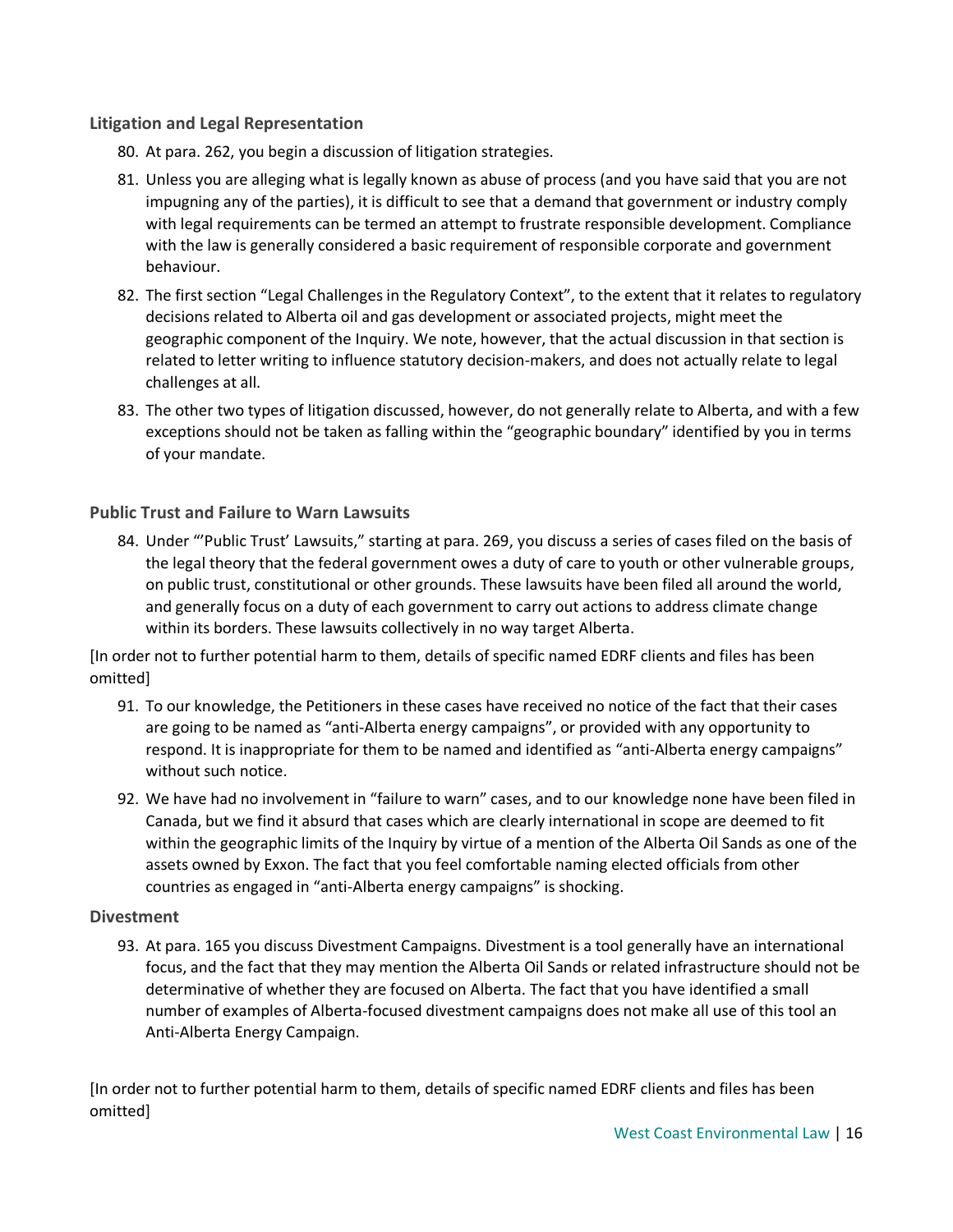#### **Litigation and Legal Representation**

- 80. At para. 262, you begin a discussion of litigation strategies.
- 81. Unless you are alleging what is legally known as abuse of process (and you have said that you are not impugning any of the parties), it is difficult to see that a demand that government or industry comply with legal requirements can be termed an attempt to frustrate responsible development. Compliance with the law is generally considered a basic requirement of responsible corporate and government behaviour.
- 82. The first section "Legal Challenges in the Regulatory Context", to the extent that it relates to regulatory decisions related to Alberta oil and gas development or associated projects, might meet the geographic component of the Inquiry. We note, however, that the actual discussion in that section is related to letter writing to influence statutory decision-makers, and does not actually relate to legal challenges at all.
- 83. The other two types of litigation discussed, however, do not generally relate to Alberta, and with a few exceptions should not be taken as falling within the "geographic boundary" identified by you in terms of your mandate.

#### **Public Trust and Failure to Warn Lawsuits**

84. Under "'Public Trust' Lawsuits," starting at para. 269, you discuss a series of cases filed on the basis of the legal theory that the federal government owes a duty of care to youth or other vulnerable groups, on public trust, constitutional or other grounds. These lawsuits have been filed all around the world, and generally focus on a duty of each government to carry out actions to address climate change within its borders. These lawsuits collectively in no way target Alberta.

[In order not to further potential harm to them, details of specific named EDRF clients and files has been omitted]

- 91. To our knowledge, the Petitioners in these cases have received no notice of the fact that their cases are going to be named as "anti-Alberta energy campaigns", or provided with any opportunity to respond. It is inappropriate for them to be named and identified as "anti-Alberta energy campaigns" without such notice.
- 92. We have had no involvement in "failure to warn" cases, and to our knowledge none have been filed in Canada, but we find it absurd that cases which are clearly international in scope are deemed to fit within the geographic limits of the Inquiry by virtue of a mention of the Alberta Oil Sands as one of the assets owned by Exxon. The fact that you feel comfortable naming elected officials from other countries as engaged in "anti-Alberta energy campaigns" is shocking.

#### **Divestment**

93. At para. 165 you discuss Divestment Campaigns. Divestment is a tool generally have an international focus, and the fact that they may mention the Alberta Oil Sands or related infrastructure should not be determinative of whether they are focused on Alberta. The fact that you have identified a small number of examples of Alberta-focused divestment campaigns does not make all use of this tool an Anti-Alberta Energy Campaign.

[In order not to further potential harm to them, details of specific named EDRF clients and files has been omitted]